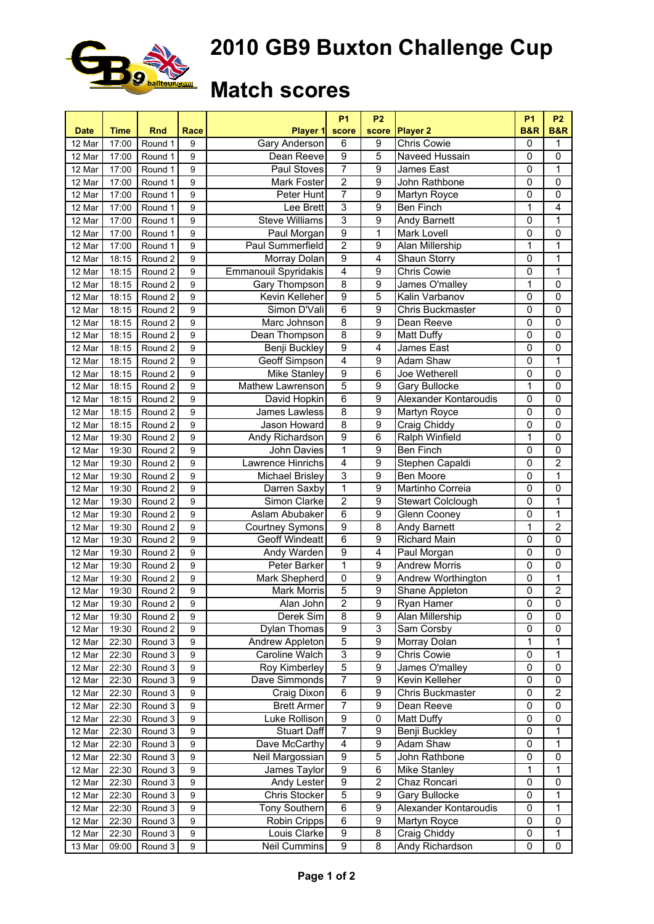

## **2010 GB9 Buxton Challenge Cup**

## **Match scores**

|             |             |                    |                |                                        | <b>P1</b>           | P <sub>2</sub>                     |                             | <b>P1</b><br><b>B&amp;R</b> | <b>P2</b>               |
|-------------|-------------|--------------------|----------------|----------------------------------------|---------------------|------------------------------------|-----------------------------|-----------------------------|-------------------------|
| <b>Date</b> | <b>Time</b> | <b>Rnd</b>         | Race           | <b>Player 1</b>                        | score               | <b>score</b>                       | <b>Player 2</b>             |                             | <b>B&amp;R</b>          |
| 12 Mar      | 17:00       | Round 1            | 9              | <b>Gary Anderson</b>                   | 6                   | 9                                  | <b>Chris Cowie</b>          | $\mathbf 0$                 | 1                       |
| 12 Mar      | 17:00       | Round 1            | 9              | Dean Reeve                             | 9<br>7              | 5                                  | Naveed Hussain              | 0                           | $\mathbf 0$             |
| 12 Mar      | 17:00       | Round 1            | 9              | Paul Stoves                            | $\overline{2}$      | 9<br>$\overline{9}$                | James East<br>John Rathbone | $\mathbf 0$                 | 1<br>$\overline{0}$     |
| 12 Mar      | 17:00       | Round 1            | 9<br>9         | Mark Foster                            |                     |                                    |                             | $\mathbf 0$                 | $\overline{0}$          |
| 12 Mar      | 17:00       | Round 1            | 9              | Peter Hunt                             | 7                   | $\boldsymbol{9}$<br>$\overline{9}$ | Martyn Royce                | $\mathbf 0$                 |                         |
| 12 Mar      | 17:00       | Round 1            |                | Lee Brett                              | 3                   |                                    | Ben Finch                   | 1                           | $\overline{\mathbf{4}}$ |
| 12 Mar      | 17:00       | Round 1            | 9              | <b>Steve Williams</b>                  | 3<br>$\overline{9}$ | 9                                  | <b>Andy Barnett</b>         | $\mathbf 0$                 | 1                       |
| 12 Mar      | 17:00       | Round 1            | 9              | Paul Morgan<br><b>Paul Summerfield</b> | $\overline{2}$      | $\mathbf{1}$                       | Mark Lovell                 | 0                           | $\mathbf 0$             |
| 12 Mar      | 17:00       | Round 1            | 9              |                                        |                     | 9                                  | Alan Millership             | 1                           | 1                       |
| 12 Mar      | 18:15       | Round 2            | 9              | Morray Dolan                           | 9                   | 4                                  | Shaun Storry                | 0                           | 1                       |
| 12 Mar      | 18:15       | Round 2            | 9              | Emmanouil Spyridakis                   | 4                   | 9                                  | <b>Chris Cowie</b>          | 0                           | 1                       |
| 12 Mar      | 18:15       | Round 2            | 9              | Gary Thompson                          | $\overline{8}$      | 9                                  | James O'malley              | 1                           | 0                       |
| 12 Mar      | 18:15       | Round 2            | 9              | Kevin Kelleher                         | $\overline{9}$      | 5                                  | Kalin Varbanov              | 0                           | $\mathbf 0$             |
| 12 Mar      | 18:15       | Round 2            | 9              | Simon D'Vali                           | 6                   | $\overline{9}$                     | <b>Chris Buckmaster</b>     | 0                           | $\overline{0}$          |
| 12 Mar      | 18:15       | Round 2            | 9              | Marc Johnson                           | $\overline{8}$      | $\overline{9}$                     | Dean Reeve                  | 0                           | $\mathbf 0$             |
| 12 Mar      | 18:15       | Round 2            | 9              | Dean Thompson                          | 8                   | 9                                  | Matt Duffy                  | 0                           | $\mathbf 0$             |
| 12 Mar      | 18:15       | Round 2            | 9              | <b>Benji Buckley</b>                   | $\overline{9}$      | $\overline{4}$                     | James East                  | 0                           | 0                       |
| 12 Mar      | 18:15       | Round 2            | 9              | Geoff Simpson                          | $\overline{4}$      | 9                                  | Adam Shaw                   | 0                           | 1                       |
| 12 Mar      | 18:15       | Round 2            | 9              | Mike Stanley                           | $\overline{9}$      | 6                                  | Joe Wetherell               | $\mathbf 0$                 | $\mathbf 0$             |
| 12 Mar      | 18:15       | Round 2            | 9              | Mathew Lawrenson                       | $\overline{5}$      | 9                                  | <b>Gary Bullocke</b>        | 1                           | $\mathbf 0$             |
| 12 Mar      | 18:15       | Round 2            | 9              | David Hopkin                           | 6                   | $\overline{9}$                     | Alexander Kontaroudis       | $\mathbf 0$                 | $\overline{0}$          |
| 12 Mar      | 18:15       | Round 2            | 9              | James Lawless                          | 8                   | 9                                  | Martyn Royce                | $\mathbf 0$                 | $\mathbf 0$             |
| 12 Mar      | 18:15       | Round 2            | 9              | Jason Howard                           | 8                   | 9                                  | Craig Chiddy                | $\mathbf 0$                 | $\pmb{0}$               |
| 12 Mar      | 19:30       | Round 2            | 9              | Andy Richardson                        | 9                   | 6                                  | Ralph Winfield              | 1                           | $\mathbf 0$             |
| 12 Mar      | 19:30       | Round 2            | 9              | John Davies                            | 1                   | 9                                  | Ben Finch                   | 0                           | $\mathbf 0$             |
| 12 Mar      | 19:30       | Round 2            | 9              | Lawrence Hinrichs                      | $\overline{4}$      | 9                                  | Stephen Capaldi             | 0                           | 2                       |
| 12 Mar      | 19:30       | Round 2            | 9              | <b>Michael Brisley</b>                 | 3                   | 9                                  | Ben Moore                   | 0                           | 1                       |
| 12 Mar      | 19:30       | Round 2            | 9              | Darren Saxby                           | 1                   | 9                                  | Martinho Correia            | 0                           | 0                       |
| 12 Mar      | 19:30       | Round 2            | 9              | Simon Clarke                           | $\overline{2}$      | 9                                  | <b>Stewart Colclough</b>    | 0                           | 1                       |
| 12 Mar      | 19:30       | Round 2            | 9              | Aslam Abubaker                         | 6                   | $\overline{9}$                     | Glenn Cooney                | 0                           | 1                       |
| 12 Mar      | 19:30       | Round 2            | 9              | <b>Courtney Symons</b>                 | $\overline{9}$      | 8                                  | Andy Barnett                | 1                           | $\overline{c}$          |
| 12 Mar      | 19:30       | Round 2            | 9              | <b>Geoff Windeatt</b>                  | 6                   | 9                                  | <b>Richard Main</b>         | 0                           | $\mathbf 0$             |
| 12 Mar      | 19:30       | Round <sub>2</sub> | 9              | <b>Andy Warden</b>                     | $\overline{9}$      | 4                                  | Paul Morgan                 | 0                           | $\mathbf 0$             |
| 12 Mar      | 19:30       | Round 2            | 9              | <b>Peter Barker</b>                    | $\overline{1}$      | 9                                  | <b>Andrew Morris</b>        | 0                           | $\overline{0}$          |
| 12 Mar      | 19:30       | Round 2            | 9              | <b>Mark Shepherd</b>                   | 0                   | $\overline{9}$                     | Andrew Worthington          | 0                           | $\mathbf 1$             |
| 12 Mar      | 19:30       | Round 2            | 9              | Mark Morris                            | 5                   | $\overline{9}$                     | Shane Appleton              | 0                           | $\overline{2}$          |
| 12 Mar      | 19:30       | Round 2            | $\overline{9}$ | Alan John                              | $\overline{2}$      | $\overline{9}$                     | Ryan Hamer                  | $\overline{0}$              | $\overline{0}$          |
| 12 Mar      | 19:30       | Round 2            | 9              | Derek Sim                              | 8                   | 9                                  | Alan Millership             | $\mathbf 0$                 | 0                       |
| 12 Mar      | 19:30       | Round 2            | 9              | Dylan Thomas                           | 9                   | 3                                  | Sam Corsby                  | 0                           | 0                       |
| 12 Mar      | 22:30       | Round 3            | 9              | Andrew Appleton                        | $\mathbf 5$         | 9                                  | Morray Dolan                | 1                           | 1                       |
| 12 Mar      | 22:30       | Round 3            | 9              | Caroline Walch                         | 3                   | 9                                  | <b>Chris Cowie</b>          | 0                           | 1                       |
| 12 Mar      | 22:30       | Round 3            | 9              | Roy Kimberley                          | $\overline{5}$      | 9                                  | James O'malley              | 0                           | 0                       |
| 12 Mar      | 22:30       | Round 3            | 9              | Dave Simmonds                          | 7                   | 9                                  | Kevin Kelleher              | 0                           | 0                       |
| 12 Mar      | 22:30       | Round 3            | 9              | Craig Dixon                            | 6                   | 9                                  | <b>Chris Buckmaster</b>     | 0                           | $\overline{2}$          |
| 12 Mar      | 22:30       | Round 3            | 9              | <b>Brett Armer</b>                     | 7                   | 9                                  | Dean Reeve                  | 0                           | 0                       |
| 12 Mar      | 22:30       | Round 3            | 9              | Luke Rollison                          | $\boldsymbol{9}$    | 0                                  | Matt Duffy                  | 0                           | 0                       |
| 12 Mar      | 22:30       | Round 3            | 9              | <b>Stuart Daff</b>                     | $\overline{7}$      | 9                                  | Benji Buckley               | 0                           | 1                       |
| 12 Mar      | 22:30       | Round 3            | 9              | Dave McCarthy                          | 4                   | 9                                  | Adam Shaw                   | 0                           | 1                       |
| 12 Mar      | 22:30       | Round 3            | 9              | Neil Margossian                        | $\boldsymbol{9}$    | $\overline{5}$                     | John Rathbone               | 0                           | 0                       |
| 12 Mar      | 22:30       | Round 3            | 9              | James Taylor                           | $\overline{9}$      | 6                                  | Mike Stanley                | 1                           | 1                       |
| 12 Mar      | 22:30       | Round 3            | 9              | Andy Lester                            | $\overline{9}$      | $\overline{2}$                     | Chaz Roncari                | 0                           | $\mathbf 0$             |
| 12 Mar      | 22:30       | Round 3            | 9              | Chris Stocker                          | $\overline{5}$      | $\overline{9}$                     | Gary Bullocke               | 0                           | 1                       |
| 12 Mar      | 22:30       | Round 3            | 9              | <b>Tony Southern</b>                   | $\overline{6}$      | $\overline{9}$                     | Alexander Kontaroudis       | 0                           | 1                       |
| 12 Mar      | 22:30       | Round 3            | 9              | Robin Cripps                           | 6                   | $\overline{9}$                     | Martyn Royce                | 0                           | 0                       |
| 12 Mar      | 22:30       | Round 3            | 9              | Louis Clarke                           | 9                   | 8                                  | Craig Chiddy                | $\pmb{0}$                   | 1                       |
| 13 Mar      | 09:00       | Round 3            | 9              | Neil Cummins                           | 9                   | 8                                  | Andy Richardson             | 0                           | 0                       |